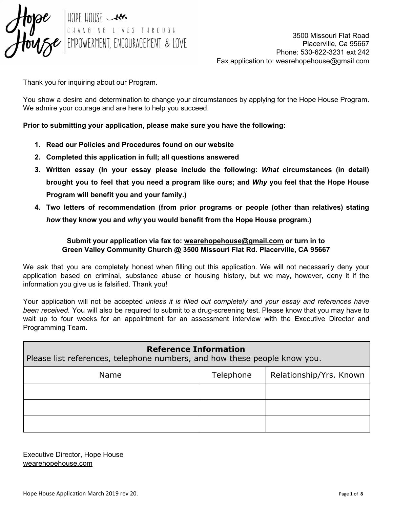Hope HOUSE CHANGERS THROUGH

Thank you for inquiring about our Program.

You show a desire and determination to change your circumstances by applying for the Hope House Program. We admire your courage and are here to help you succeed.

### **Prior to submitting your application, please make sure you have the following:**

- **1. Read our Policies and Procedures found on our website**
- **2. Completed this application in full; all questions answered**
- **3. Written essay (In your essay please include the following:** *What* **circumstances (in detail) brought you to feel that you need a program like ours; and** *Why* **you feel that the Hope House Program will benefit you and your family.)**
- **4. Two letters of recommendation (from prior programs or people (other than relatives) stating** *how* **they know you and** *why* **you would benefit from the Hope House program.)**

### **Submit your application via fax to: [wearehopehouse@gmail.com](mailto:wearehopehouse@gmail.com) or turn in to Green Valley Community Church @ 3500 Missouri Flat Rd. Placerville, CA 95667**

We ask that you are completely honest when filling out this application. We will not necessarily deny your application based on criminal, substance abuse or housing history, but we may, however, deny it if the information you give us is falsified. Thank you!

Your application will not be accepted *unless it is filled out completely and your essay and references have been received.* You will also be required to submit to a drug-screening test. Please know that you may have to wait up to four weeks for an appointment for an assessment interview with the Executive Director and Programming Team.

| <b>Reference Information</b><br>Please list references, telephone numbers, and how these people know you. |           |                         |  |  |
|-----------------------------------------------------------------------------------------------------------|-----------|-------------------------|--|--|
| <b>Name</b>                                                                                               | Telephone | Relationship/Yrs. Known |  |  |
|                                                                                                           |           |                         |  |  |
|                                                                                                           |           |                         |  |  |
|                                                                                                           |           |                         |  |  |

Executive Director, Hope House wearehopehouse.com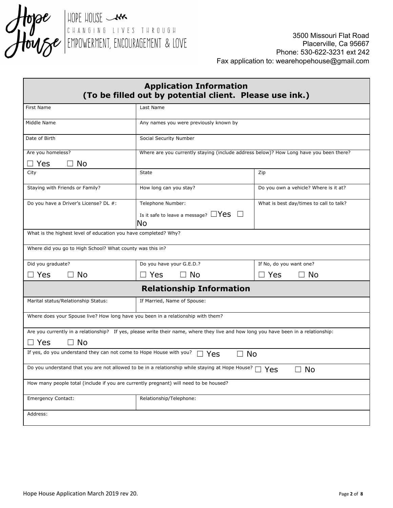

# Hoppe HOUSE CARRY AND USE OF THE ROUGH

|                                                                                  | <b>Application Information</b><br>(To be filled out by potential client. Please use ink.)                                           |                                         |
|----------------------------------------------------------------------------------|-------------------------------------------------------------------------------------------------------------------------------------|-----------------------------------------|
| First Name                                                                       | Last Name                                                                                                                           |                                         |
| Middle Name                                                                      | Any names you were previously known by                                                                                              |                                         |
| Date of Birth                                                                    | Social Security Number                                                                                                              |                                         |
| Are you homeless?                                                                | Where are you currently staying (include address below)? How Long have you been there?                                              |                                         |
| $\Box$ Yes<br>$\Box$ No                                                          |                                                                                                                                     |                                         |
| City                                                                             | <b>State</b>                                                                                                                        | Zip                                     |
| Staying with Friends or Family?                                                  | How long can you stay?                                                                                                              | Do you own a vehicle? Where is it at?   |
| Do you have a Driver's License? DL #:                                            | Telephone Number:                                                                                                                   | What is best day/times to call to talk? |
|                                                                                  | Is it safe to leave a message? $\Box$ Yes $\Box$<br><b>No</b>                                                                       |                                         |
| What is the highest level of education you have completed? Why?                  |                                                                                                                                     |                                         |
| Where did you go to High School? What county was this in?                        |                                                                                                                                     |                                         |
| Did you graduate?                                                                | Do you have your G.E.D.?                                                                                                            | If No, do you want one?                 |
| <b>No</b><br>$\Box$ Yes                                                          | $\Box$ No<br>$\Box$ Yes                                                                                                             | $\Box$ Yes<br>∃ No                      |
|                                                                                  | <b>Relationship Information</b>                                                                                                     |                                         |
| Marital status/Relationship Status:                                              | If Married, Name of Spouse:                                                                                                         |                                         |
| Where does your Spouse live? How long have you been in a relationship with them? |                                                                                                                                     |                                         |
|                                                                                  | Are you currently in a relationship? If yes, please write their name, where they live and how long you have been in a relationship: |                                         |
| $\Box$ No<br>$\Box$ Yes                                                          |                                                                                                                                     |                                         |
| If yes, do you understand they can not come to Hope House with you?              | $\Box$ No<br>Yes                                                                                                                    |                                         |
|                                                                                  | Do you understand that you are not allowed to be in a relationship while staying at Hope House? $\Box$ Yes                          | $\Box$ No                               |
|                                                                                  | How many people total (include if you are currently pregnant) will need to be housed?                                               |                                         |
| <b>Emergency Contact:</b>                                                        | Relationship/Telephone:                                                                                                             |                                         |
| Address:                                                                         |                                                                                                                                     |                                         |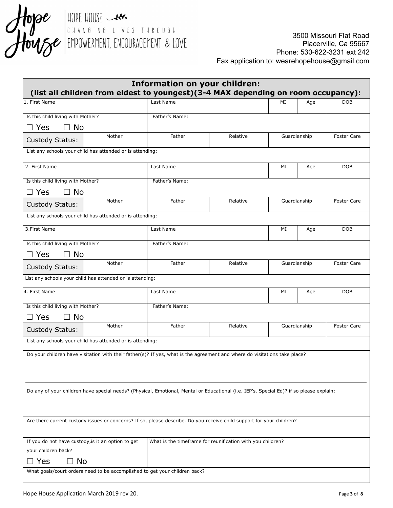

Hoppe HOUSE CHANGERS THROUGH

| 1. First Name                                                |        | Last Name                                                                                                                               |          | ΜI | Age          | <b>DOB</b>         |
|--------------------------------------------------------------|--------|-----------------------------------------------------------------------------------------------------------------------------------------|----------|----|--------------|--------------------|
| Is this child living with Mother?                            |        | Father's Name:                                                                                                                          |          |    |              |                    |
| Yes<br>No<br>$\blacksquare$                                  |        |                                                                                                                                         |          |    |              |                    |
| Custody Status:                                              | Mother | Father                                                                                                                                  | Relative |    | Guardianship | <b>Foster Care</b> |
| List any schools your child has attended or is attending:    |        |                                                                                                                                         |          |    |              |                    |
| 2. First Name                                                |        | Last Name                                                                                                                               |          | МI | Age          | <b>DOB</b>         |
|                                                              |        |                                                                                                                                         |          |    |              |                    |
| Is this child living with Mother?<br>$\Box$ No<br>$\Box$ Yes |        | Father's Name:                                                                                                                          |          |    |              |                    |
| Custody Status:                                              | Mother | Father                                                                                                                                  | Relative |    | Guardianship | <b>Foster Care</b> |
| List any schools your child has attended or is attending:    |        |                                                                                                                                         |          |    |              |                    |
| 3. First Name                                                |        | Last Name                                                                                                                               |          | МI |              | <b>DOB</b>         |
|                                                              |        |                                                                                                                                         |          |    | Age          |                    |
| Is this child living with Mother?                            |        | Father's Name:                                                                                                                          |          |    |              |                    |
| $\Box$ Yes<br>$\Box$ No                                      | Mother | Father                                                                                                                                  | Relative |    | Guardianship | <b>Foster Care</b> |
| Custody Status:                                              |        |                                                                                                                                         |          |    |              |                    |
| List any schools your child has attended or is attending:    |        |                                                                                                                                         |          |    |              |                    |
| 4. First Name                                                |        | Last Name                                                                                                                               |          | МI | Age          | <b>DOB</b>         |
| Is this child living with Mother?                            |        | Father's Name:                                                                                                                          |          |    |              |                    |
| $\Box$ No<br>Yes                                             |        |                                                                                                                                         |          |    |              |                    |
| Custody Status:                                              | Mother | Father                                                                                                                                  | Relative |    | Guardianship | <b>Foster Care</b> |
| List any schools your child has attended or is attending:    |        |                                                                                                                                         |          |    |              |                    |
|                                                              |        | Do your children have visitation with their father(s)? If yes, what is the agreement and where do visitations take place?               |          |    |              |                    |
|                                                              |        |                                                                                                                                         |          |    |              |                    |
|                                                              |        |                                                                                                                                         |          |    |              |                    |
|                                                              |        | Do any of your children have special needs? (Physical, Emotional, Mental or Educational (i.e. IEP's, Special Ed)? if so please explain: |          |    |              |                    |
|                                                              |        |                                                                                                                                         |          |    |              |                    |
|                                                              |        |                                                                                                                                         |          |    |              |                    |
|                                                              |        | Are there current custody issues or concerns? If so, please describe. Do you receive child support for your children?                   |          |    |              |                    |
| If you do not have custody, is it an option to get           |        | What is the timeframe for reunification with you children?                                                                              |          |    |              |                    |
| your children back?                                          |        |                                                                                                                                         |          |    |              |                    |
|                                                              |        |                                                                                                                                         |          |    |              |                    |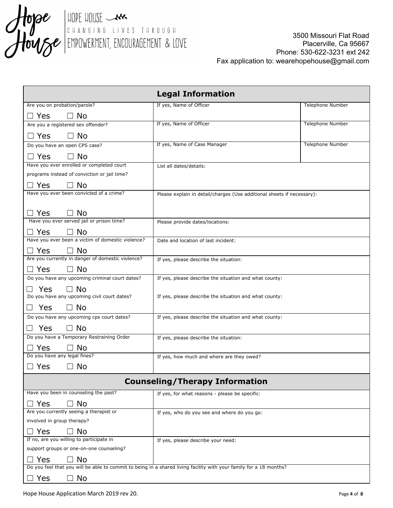# Hope HOUSE CARE

3500 Missouri Flat Road Placerville, Ca 95667 Phone: 530-622-3231 ext 242 Fax application to: wearehopehouse@gmail.com

|                                                   | <b>Legal Information</b>                                                                                           |                  |
|---------------------------------------------------|--------------------------------------------------------------------------------------------------------------------|------------------|
| Are you on probation/parole?                      | If yes, Name of Officer                                                                                            | Telephone Number |
| No<br>$\Box$ Yes                                  |                                                                                                                    |                  |
| Are you a registered sex offender?                | If yes, Name of Officer                                                                                            | Telephone Number |
| $\Box$ No<br>$\Box$ Yes                           |                                                                                                                    |                  |
| Do you have an open CPS case?                     | If yes, Name of Case Manager                                                                                       | Telephone Number |
| <b>No</b><br>$\Box$ Yes                           |                                                                                                                    |                  |
| Have you ever enrolled or completed court         | List all dates/details:                                                                                            |                  |
| programs instead of conviction or jail time?      |                                                                                                                    |                  |
| No<br>$\sqsupset$ Yes                             |                                                                                                                    |                  |
| Have you ever been convicted of a crime?          | Please explain in detail/charges (Use additional sheets if necessary):                                             |                  |
|                                                   |                                                                                                                    |                  |
| $\sqsupset$ Yes<br>No                             |                                                                                                                    |                  |
| Have you ever served jail or prison time?         | Please provide dates/locations:                                                                                    |                  |
| No<br>$\Box$ Yes                                  |                                                                                                                    |                  |
| Have you ever been a victim of domestic violence? | Date and location of last incident:                                                                                |                  |
| $\Box$ Yes<br><b>No</b>                           |                                                                                                                    |                  |
| Are you currently in danger of domestic violence? | If yes, please describe the situation:                                                                             |                  |
| <b>No</b><br>$\Box$ Yes                           |                                                                                                                    |                  |
| Do you have any upcoming criminal court dates?    | If yes, please describe the situation and what county:                                                             |                  |
| Yes<br>$\Box$ No                                  |                                                                                                                    |                  |
| Do you have any upcoming civil court dates?       | If yes, please describe the situation and what county:                                                             |                  |
| $\Box$ No<br>Yes                                  |                                                                                                                    |                  |
| Do you have any upcoming cps court dates?         | If yes, please describe the situation and what county:                                                             |                  |
| Yes<br>$\Box$ No                                  |                                                                                                                    |                  |
| Do you have a Temporary Restraining Order         | If yes, please describe the situation:                                                                             |                  |
| No<br>$\Box$ Yes                                  |                                                                                                                    |                  |
| Do you have any legal fines?                      | If yes, how much and where are they owed?                                                                          |                  |
| $\Box$ Yes<br>No                                  |                                                                                                                    |                  |
|                                                   | <b>Counseling/Therapy Information</b>                                                                              |                  |
| Have you been in counseling the past?             | If yes, for what reasons - please be specific:                                                                     |                  |
| <b>No</b><br>$\Box$ Yes                           |                                                                                                                    |                  |
| Are you currently seeing a therapist or           | If yes, who do you see and where do you go:                                                                        |                  |
| involved in group therapy?                        |                                                                                                                    |                  |
| Yes<br><b>No</b>                                  |                                                                                                                    |                  |
| If no, are you willing to participate in          | If yes, please describe your need:                                                                                 |                  |
| support groups or one-on-one counseling?          |                                                                                                                    |                  |
| No<br>$\Box$ Yes                                  |                                                                                                                    |                  |
|                                                   | Do you feel that you will be able to commit to being in a shared living facility with your family for a 18 months? |                  |
| $\Box$ Yes<br>No                                  |                                                                                                                    |                  |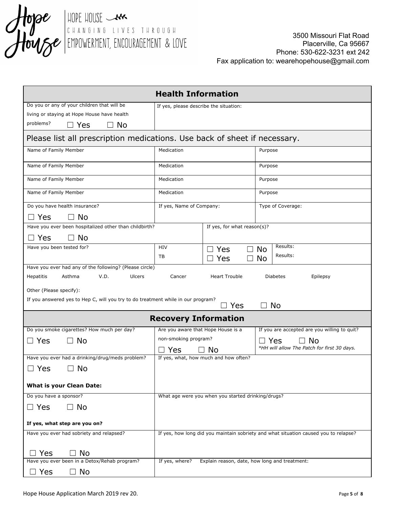# Hope HOUSE CARE

|                                                                                  | <b>Health Information</b>                                  |                                                    |                                                                                      |  |  |
|----------------------------------------------------------------------------------|------------------------------------------------------------|----------------------------------------------------|--------------------------------------------------------------------------------------|--|--|
| Do you or any of your children that will be                                      | If yes, please describe the situation:                     |                                                    |                                                                                      |  |  |
| living or staying at Hope House have health                                      |                                                            |                                                    |                                                                                      |  |  |
| problems?<br>$\Box$ Yes<br>$\Box$ No                                             |                                                            |                                                    |                                                                                      |  |  |
| Please list all prescription medications. Use back of sheet if necessary.        |                                                            |                                                    |                                                                                      |  |  |
| Name of Family Member                                                            | Medication<br>Purpose                                      |                                                    |                                                                                      |  |  |
| Name of Family Member                                                            | Medication                                                 |                                                    | Purpose                                                                              |  |  |
| Name of Family Member                                                            | Medication                                                 |                                                    | Purpose                                                                              |  |  |
| Name of Family Member                                                            | Medication                                                 |                                                    | Purpose                                                                              |  |  |
| Do you have health insurance?                                                    | If yes, Name of Company:                                   |                                                    | Type of Coverage:                                                                    |  |  |
| $\Box$ No<br>$\Box$ Yes                                                          |                                                            |                                                    |                                                                                      |  |  |
| Have you ever been hospitalized other than childbirth?                           |                                                            | If yes, for what reason(s)?                        |                                                                                      |  |  |
| $\Box$ Yes<br>No                                                                 |                                                            |                                                    |                                                                                      |  |  |
| Have you been tested for?                                                        | HIV                                                        | $\Box$ Yes<br>П                                    | Results:<br><b>No</b>                                                                |  |  |
|                                                                                  | TB                                                         | Yes                                                | Results:<br>No                                                                       |  |  |
| Have you ever had any of the following? (Please circle)                          |                                                            |                                                    |                                                                                      |  |  |
| <b>Hepatitis</b><br>Asthma<br>V.D.<br>Ulcers                                     | Cancer                                                     | <b>Heart Trouble</b>                               | Diabetes<br>Epilepsy                                                                 |  |  |
| Other (Please specify):                                                          |                                                            |                                                    |                                                                                      |  |  |
| If you answered yes to Hep C, will you try to do treatment while in our program? |                                                            |                                                    |                                                                                      |  |  |
|                                                                                  | <b>Recovery Information</b>                                | Yes                                                | $\Box$ No                                                                            |  |  |
| Do you smoke cigarettes? How much per day?                                       |                                                            |                                                    | If you are accepted are you willing to quit?                                         |  |  |
|                                                                                  | Are you aware that Hope House is a<br>non-smoking program? |                                                    |                                                                                      |  |  |
| $\Box$ No<br>$\Box$ Yes                                                          |                                                            |                                                    | $\Box$ Yes<br>□ No<br>*HH will allow The Patch for first 30 days.                    |  |  |
| Have you ever had a drinking/drug/meds problem?                                  | Yes<br>No<br>If yes, what, how much and how often?         |                                                    |                                                                                      |  |  |
| □ Yes<br>.No                                                                     |                                                            |                                                    |                                                                                      |  |  |
|                                                                                  |                                                            |                                                    |                                                                                      |  |  |
| <b>What is your Clean Date:</b>                                                  |                                                            |                                                    |                                                                                      |  |  |
| Do you have a sponsor?                                                           |                                                            | What age were you when you started drinking/drugs? |                                                                                      |  |  |
| $\Box$ No<br>$\Box$ Yes                                                          |                                                            |                                                    |                                                                                      |  |  |
| If yes, what step are you on?                                                    |                                                            |                                                    |                                                                                      |  |  |
| Have you ever had sobriety and relapsed?                                         |                                                            |                                                    | If yes, how long did you maintain sobriety and what situation caused you to relapse? |  |  |
|                                                                                  |                                                            |                                                    |                                                                                      |  |  |
| $\Box$ Yes<br>$\sqsupset$ No                                                     |                                                            |                                                    |                                                                                      |  |  |
| Have you ever been in a Detox/Rehab program?                                     | If yes, where?                                             |                                                    | Explain reason, date, how long and treatment:                                        |  |  |
| $\sqsupset$ No<br>$\Box$ Yes                                                     |                                                            |                                                    |                                                                                      |  |  |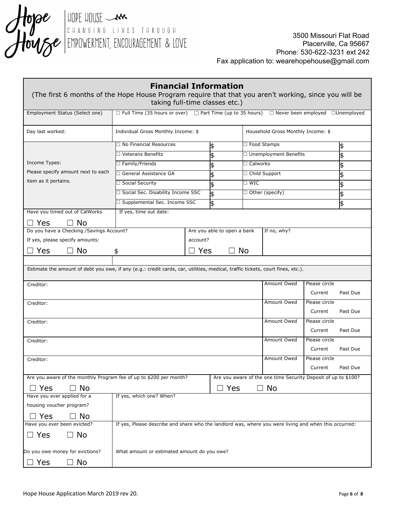

# Hoppe HOUSE CARRY AND UNE

| (The first 6 months of the Hope House Program require that that you aren't working, since you will be                                                | <b>Financial Information</b><br>taking full-time classes etc.)                                        |               |                                    |                             |                              |                                                                |               |          |
|------------------------------------------------------------------------------------------------------------------------------------------------------|-------------------------------------------------------------------------------------------------------|---------------|------------------------------------|-----------------------------|------------------------------|----------------------------------------------------------------|---------------|----------|
| $\Box$ Full Time (35 hours or over) $\Box$ Part Time (up to 35 hours) $\Box$ Never been employed $\Box$ Unemployed<br>Employment Status (Select one) |                                                                                                       |               |                                    |                             |                              |                                                                |               |          |
| Day last worked:                                                                                                                                     | Individual Gross Monthly Income: \$                                                                   |               | Household Gross Monthly Income: \$ |                             |                              |                                                                |               |          |
|                                                                                                                                                      | □ No Financial Resources<br>\$                                                                        |               |                                    | □ Food Stamps               |                              | \$                                                             |               |          |
|                                                                                                                                                      | □ Veterans Benefits                                                                                   |               | \$                                 |                             |                              | □ Unemployment Benefits                                        |               | \$       |
| Income Types:                                                                                                                                        | □ Family/Friends                                                                                      |               | \$                                 |                             | □ Calworks                   |                                                                |               | \$       |
| Please specify amount next to each                                                                                                                   | General Assistance GA                                                                                 |               | \$                                 |                             | □ Child Support              |                                                                |               | \$       |
| item as it pertains.                                                                                                                                 | Social Security                                                                                       |               | \$                                 |                             | $\square$ WIC                |                                                                |               | \$       |
|                                                                                                                                                      | Social Sec. Disability Income SSC                                                                     |               | \$                                 |                             | $\Box$ Other (specify)<br>\$ |                                                                |               |          |
|                                                                                                                                                      | □ Supplemental Sec. Income SSC                                                                        |               | \$                                 |                             |                              |                                                                |               | \$       |
| Have you timed out of CalWorks                                                                                                                       | If yes, time out date:                                                                                |               |                                    |                             |                              |                                                                |               |          |
| No<br>$\Box$ Yes                                                                                                                                     |                                                                                                       |               |                                    |                             |                              |                                                                |               |          |
| Do you have a Checking /Savings Account?                                                                                                             |                                                                                                       |               |                                    | Are you able to open a bank |                              | If no, why?                                                    |               |          |
| If yes, please specify amounts:                                                                                                                      |                                                                                                       | account?      |                                    |                             |                              |                                                                |               |          |
| $\Box$ No<br>$\Box$ Yes                                                                                                                              | \$                                                                                                    | $\square$ Yes |                                    | $\Box$ No                   |                              |                                                                |               |          |
|                                                                                                                                                      |                                                                                                       |               |                                    |                             |                              |                                                                |               |          |
| Estimate the amount of debt you owe, if any (e.g.: credit cards, car, utilities, medical, traffic tickets, court fines, etc.).                       |                                                                                                       |               |                                    |                             |                              |                                                                |               |          |
| Creditor:                                                                                                                                            |                                                                                                       |               |                                    |                             |                              | Amount Owed                                                    | Please circle |          |
|                                                                                                                                                      |                                                                                                       |               |                                    |                             |                              |                                                                | Current       | Past Due |
| Creditor:                                                                                                                                            |                                                                                                       |               |                                    |                             |                              | Amount Owed                                                    | Please circle |          |
|                                                                                                                                                      |                                                                                                       |               |                                    |                             |                              |                                                                | Current       | Past Due |
| Creditor:                                                                                                                                            |                                                                                                       |               |                                    |                             |                              | Amount Owed                                                    | Please circle |          |
|                                                                                                                                                      |                                                                                                       |               |                                    |                             |                              |                                                                | Current       | Past Due |
| Creditor:                                                                                                                                            |                                                                                                       |               |                                    |                             |                              | Amount Owed                                                    | Please circle |          |
|                                                                                                                                                      |                                                                                                       |               |                                    |                             |                              |                                                                | Current       | Past Due |
| Creditor:                                                                                                                                            |                                                                                                       |               |                                    |                             |                              | Amount Owed                                                    | Please circle |          |
|                                                                                                                                                      |                                                                                                       |               |                                    |                             |                              |                                                                | Current       | Past Due |
| Are you aware of the monthly Program fee of up to \$200 per month?                                                                                   |                                                                                                       |               |                                    |                             |                              | Are you aware of the one time Security Deposit of up to \$100? |               |          |
| No<br>Yes                                                                                                                                            |                                                                                                       |               |                                    | $\square$ Yes               |                              | No                                                             |               |          |
| Have you ever applied for a                                                                                                                          | If yes, which one? When?                                                                              |               |                                    |                             |                              |                                                                |               |          |
| housing voucher program?                                                                                                                             |                                                                                                       |               |                                    |                             |                              |                                                                |               |          |
| Yes<br>$\Box$ No                                                                                                                                     |                                                                                                       |               |                                    |                             |                              |                                                                |               |          |
| Have you ever been evicted?                                                                                                                          | If yes, Please describe and share who the landlord was, where you were living and when this occurred: |               |                                    |                             |                              |                                                                |               |          |
| $\Box$ No<br>$\Box$ Yes                                                                                                                              |                                                                                                       |               |                                    |                             |                              |                                                                |               |          |
| Do you owe money for evictions?                                                                                                                      | What amount or estimated amount do you owe?                                                           |               |                                    |                             |                              |                                                                |               |          |
| $\Box$ No<br>Yes                                                                                                                                     |                                                                                                       |               |                                    |                             |                              |                                                                |               |          |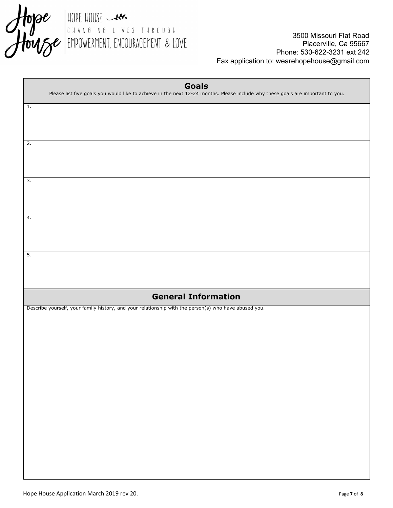

### Hope HOUSE CHANGE LIVES THROUGH

3500 Missouri Flat Road Placerville, Ca 95667 Phone: 530-622-3231 ext 242 Fax application to: wearehopehouse@gmail.com

| ioal<br>г |  |
|-----------|--|
|-----------|--|

| Please list five goals you would like to achieve in the next 12-24 months. Please include why these goals are important to you. |
|---------------------------------------------------------------------------------------------------------------------------------|
| 1.                                                                                                                              |
|                                                                                                                                 |
|                                                                                                                                 |
| 2.                                                                                                                              |
|                                                                                                                                 |
| 3.                                                                                                                              |
|                                                                                                                                 |
|                                                                                                                                 |
| $\overline{4}$ .                                                                                                                |
|                                                                                                                                 |
|                                                                                                                                 |
| 5.                                                                                                                              |
|                                                                                                                                 |
|                                                                                                                                 |
|                                                                                                                                 |
| <b>General Information</b>                                                                                                      |
| Describe yourself, your family history, and your relationship with the person(s) who have abused you.                           |
|                                                                                                                                 |
|                                                                                                                                 |
|                                                                                                                                 |
|                                                                                                                                 |
|                                                                                                                                 |
|                                                                                                                                 |
|                                                                                                                                 |
|                                                                                                                                 |
|                                                                                                                                 |
|                                                                                                                                 |
|                                                                                                                                 |